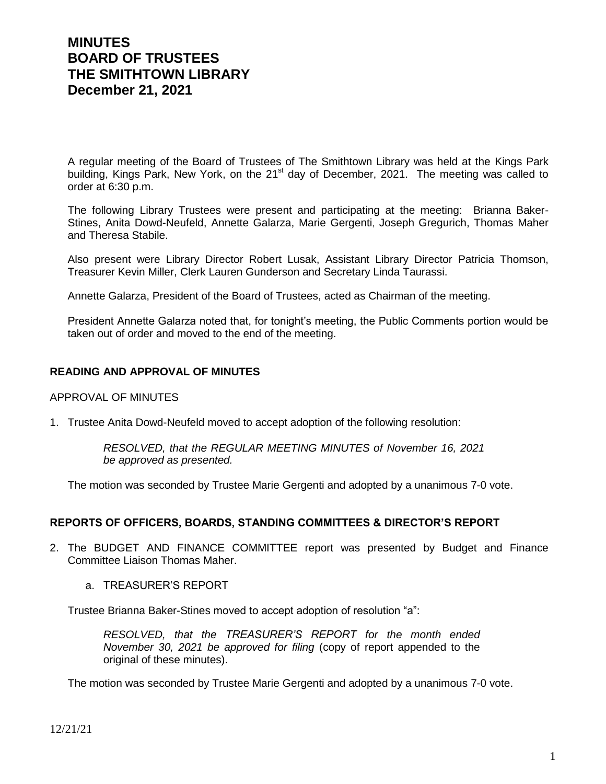# **MINUTES BOARD OF TRUSTEES THE SMITHTOWN LIBRARY December 21, 2021**

A regular meeting of the Board of Trustees of The Smithtown Library was held at the Kings Park building, Kings Park, New York, on the 21<sup>st</sup> day of December, 2021. The meeting was called to order at 6:30 p.m.

The following Library Trustees were present and participating at the meeting: Brianna Baker-Stines, Anita Dowd-Neufeld, Annette Galarza, Marie Gergenti, Joseph Gregurich, Thomas Maher and Theresa Stabile.

Also present were Library Director Robert Lusak, Assistant Library Director Patricia Thomson, Treasurer Kevin Miller, Clerk Lauren Gunderson and Secretary Linda Taurassi.

Annette Galarza, President of the Board of Trustees, acted as Chairman of the meeting.

President Annette Galarza noted that, for tonight's meeting, the Public Comments portion would be taken out of order and moved to the end of the meeting.

# **READING AND APPROVAL OF MINUTES**

#### APPROVAL OF MINUTES

1. Trustee Anita Dowd-Neufeld moved to accept adoption of the following resolution:

*RESOLVED, that the REGULAR MEETING MINUTES of November 16, 2021 be approved as presented.*

The motion was seconded by Trustee Marie Gergenti and adopted by a unanimous 7-0 vote.

#### **REPORTS OF OFFICERS, BOARDS, STANDING COMMITTEES & DIRECTOR'S REPORT**

- 2. The BUDGET AND FINANCE COMMITTEE report was presented by Budget and Finance Committee Liaison Thomas Maher.
	- a. TREASURER'S REPORT

Trustee Brianna Baker-Stines moved to accept adoption of resolution "a":

*RESOLVED, that the TREASURER'S REPORT for the month ended November 30, 2021 be approved for filing* (copy of report appended to the original of these minutes).

The motion was seconded by Trustee Marie Gergenti and adopted by a unanimous 7-0 vote.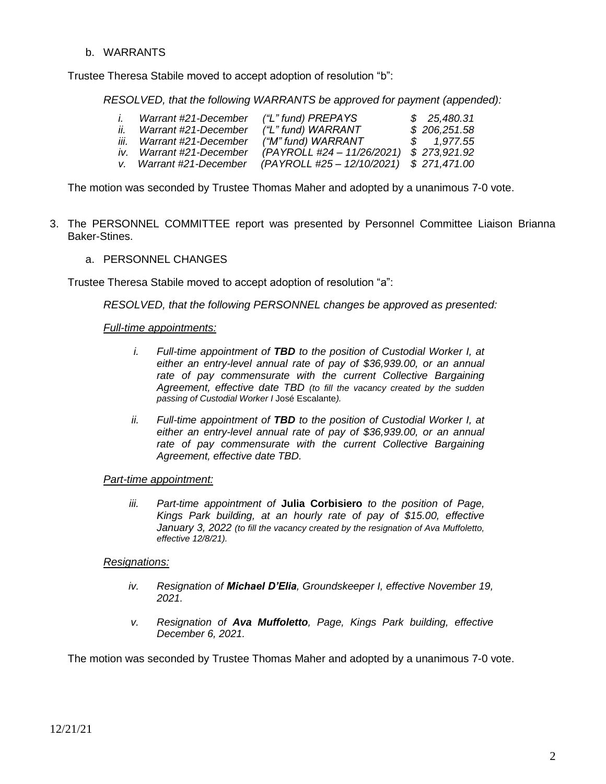b. WARRANTS

Trustee Theresa Stabile moved to accept adoption of resolution "b":

*RESOLVED, that the following WARRANTS be approved for payment (appended):*

|     | Warrant #21-December      | ("L" fund) PREPAYS                       | \$25,480.31  |
|-----|---------------------------|------------------------------------------|--------------|
| ii. | Warrant #21-December      | ("L" fund) WARRANT                       | \$206,251.58 |
|     | iii. Warrant #21-December | ("M" fund) WARRANT                       | \$ 1.977.55  |
|     | iv. Warrant #21-December  | (PAYROLL #24 - 11/26/2021)               | \$273,921.92 |
|     | v. Warrant #21-December   | (PAYROLL #25 - 12/10/2021) \$ 271,471.00 |              |

The motion was seconded by Trustee Thomas Maher and adopted by a unanimous 7-0 vote.

- 3. The PERSONNEL COMMITTEE report was presented by Personnel Committee Liaison Brianna Baker-Stines.
	- a. PERSONNEL CHANGES

Trustee Theresa Stabile moved to accept adoption of resolution "a":

*RESOLVED, that the following PERSONNEL changes be approved as presented:*

#### *Full-time appointments:*

- *i. Full-time appointment of TBD to the position of Custodial Worker I, at either an entry-level annual rate of pay of \$36,939.00, or an annual*  rate of pay commensurate with the current Collective Bargaining *Agreement, effective date TBD (to fill the vacancy created by the sudden passing of Custodial Worker I* José Escalante*).*
- *ii. Full-time appointment of TBD to the position of Custodial Worker I, at either an entry-level annual rate of pay of \$36,939.00, or an annual*  rate of pay commensurate with the current Collective Bargaining *Agreement, effective date TBD.*

#### *Part-time appointment:*

*iii. Part-time appointment of* **Julia Corbisiero** *to the position of Page, Kings Park building, at an hourly rate of pay of \$15.00, effective January 3, 2022 (to fill the vacancy created by the resignation of Ava Muffoletto, effective 12/8/21).*

#### *Resignations:*

- *iv. Resignation of Michael D'Elia, Groundskeeper I, effective November 19, 2021.*
- *v. Resignation of Ava Muffoletto, Page, Kings Park building, effective December 6, 2021.*

The motion was seconded by Trustee Thomas Maher and adopted by a unanimous 7-0 vote.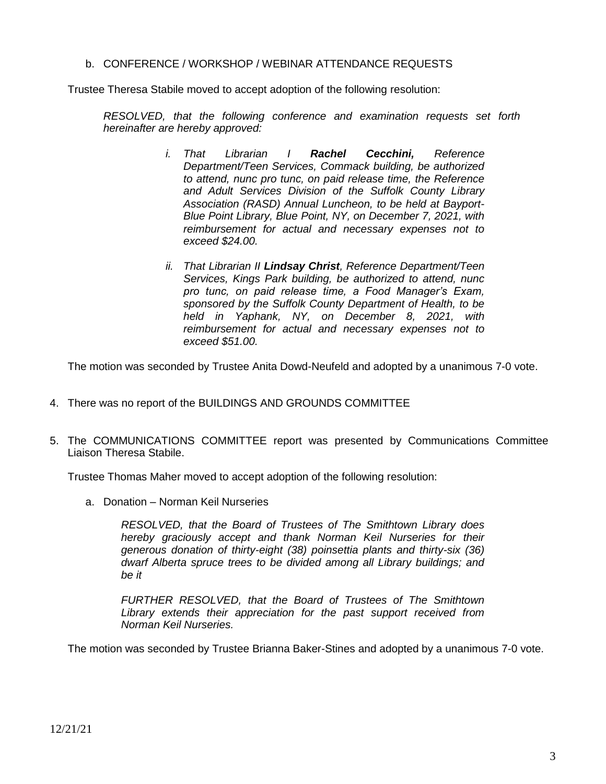b. CONFERENCE / WORKSHOP / WEBINAR ATTENDANCE REQUESTS

Trustee Theresa Stabile moved to accept adoption of the following resolution:

*RESOLVED, that the following conference and examination requests set forth hereinafter are hereby approved:*

- *i. That Librarian I Rachel Cecchini, Reference Department/Teen Services, Commack building, be authorized to attend, nunc pro tunc, on paid release time, the Reference and Adult Services Division of the Suffolk County Library Association (RASD) Annual Luncheon, to be held at Bayport-Blue Point Library, Blue Point, NY, on December 7, 2021, with reimbursement for actual and necessary expenses not to exceed \$24.00.*
- *ii. That Librarian II Lindsay Christ, Reference Department/Teen Services, Kings Park building, be authorized to attend, nunc pro tunc, on paid release time, a Food Manager's Exam, sponsored by the Suffolk County Department of Health, to be held in Yaphank, NY, on December 8, 2021, with reimbursement for actual and necessary expenses not to exceed \$51.00.*

The motion was seconded by Trustee Anita Dowd-Neufeld and adopted by a unanimous 7-0 vote.

- 4. There was no report of the BUILDINGS AND GROUNDS COMMITTEE
- 5. The COMMUNICATIONS COMMITTEE report was presented by Communications Committee Liaison Theresa Stabile.

Trustee Thomas Maher moved to accept adoption of the following resolution:

a. Donation – Norman Keil Nurseries

*RESOLVED, that the Board of Trustees of The Smithtown Library does hereby graciously accept and thank Norman Keil Nurseries for their generous donation of thirty-eight (38) poinsettia plants and thirty-six (36) dwarf Alberta spruce trees to be divided among all Library buildings; and be it*

*FURTHER RESOLVED, that the Board of Trustees of The Smithtown Library extends their appreciation for the past support received from Norman Keil Nurseries.*

The motion was seconded by Trustee Brianna Baker-Stines and adopted by a unanimous 7-0 vote.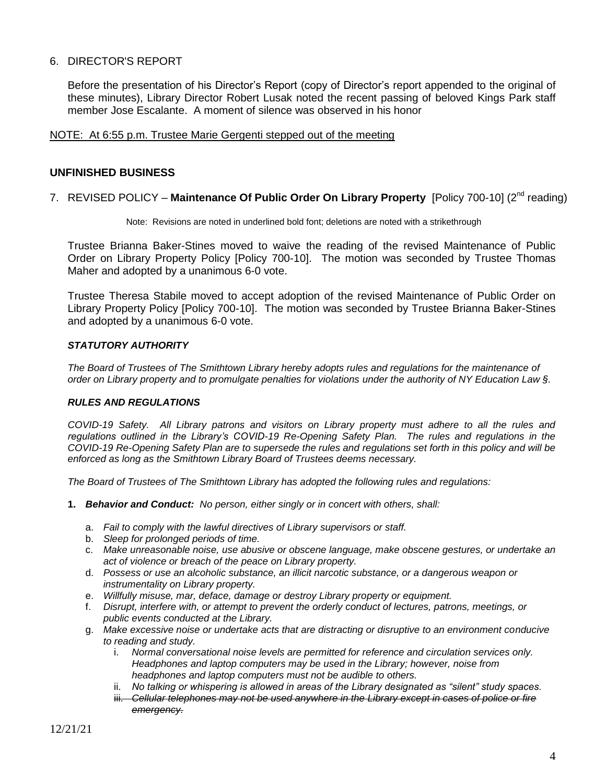## 6. DIRECTOR'S REPORT

Before the presentation of his Director's Report (copy of Director's report appended to the original of these minutes), Library Director Robert Lusak noted the recent passing of beloved Kings Park staff member Jose Escalante. A moment of silence was observed in his honor

#### NOTE: At 6:55 p.m. Trustee Marie Gergenti stepped out of the meeting

### **UNFINISHED BUSINESS**

#### 7. REVISED POLICY – **Maintenance Of Public Order On Library Property** [Policy 700-10] (2nd reading)

Note: Revisions are noted in underlined bold font; deletions are noted with a strikethrough

Trustee Brianna Baker-Stines moved to waive the reading of the revised Maintenance of Public Order on Library Property Policy [Policy 700-10]. The motion was seconded by Trustee Thomas Maher and adopted by a unanimous 6-0 vote.

Trustee Theresa Stabile moved to accept adoption of the revised Maintenance of Public Order on Library Property Policy [Policy 700-10]. The motion was seconded by Trustee Brianna Baker-Stines and adopted by a unanimous 6-0 vote.

#### *STATUTORY AUTHORITY*

*The Board of Trustees of The Smithtown Library hereby adopts rules and regulations for the maintenance of order on Library property and to promulgate penalties for violations under the authority of NY Education Law §.*

#### *RULES AND REGULATIONS*

*COVID-19 Safety. All Library patrons and visitors on Library property must adhere to all the rules and regulations outlined in the Library's COVID-19 Re-Opening Safety Plan. The rules and regulations in the COVID-19 Re-Opening Safety Plan are to supersede the rules and regulations set forth in this policy and will be enforced as long as the Smithtown Library Board of Trustees deems necessary.*

*The Board of Trustees of The Smithtown Library has adopted the following rules and regulations:*

- **1.** *Behavior and Conduct: No person, either singly or in concert with others, shall:*
	- a. *Fail to comply with the lawful directives of Library supervisors or staff.*
	- b. *Sleep for prolonged periods of time.*
	- c. *Make unreasonable noise, use abusive or obscene language, make obscene gestures, or undertake an act of violence or breach of the peace on Library property.*
	- d. *Possess or use an alcoholic substance, an illicit narcotic substance, or a dangerous weapon or instrumentality on Library property.*
	- e. *Willfully misuse, mar, deface, damage or destroy Library property or equipment.*
	- f. *Disrupt, interfere with, or attempt to prevent the orderly conduct of lectures, patrons, meetings, or public events conducted at the Library.*
	- g. *Make excessive noise or undertake acts that are distracting or disruptive to an environment conducive to reading and study.* 
		- i. *Normal conversational noise levels are permitted for reference and circulation services only. Headphones and laptop computers may be used in the Library; however, noise from headphones and laptop computers must not be audible to others.*
		- ii. *No talking or whispering is allowed in areas of the Library designated as "silent" study spaces.*
		- iii. *Cellular telephones may not be used anywhere in the Library except in cases of police or fire emergency.*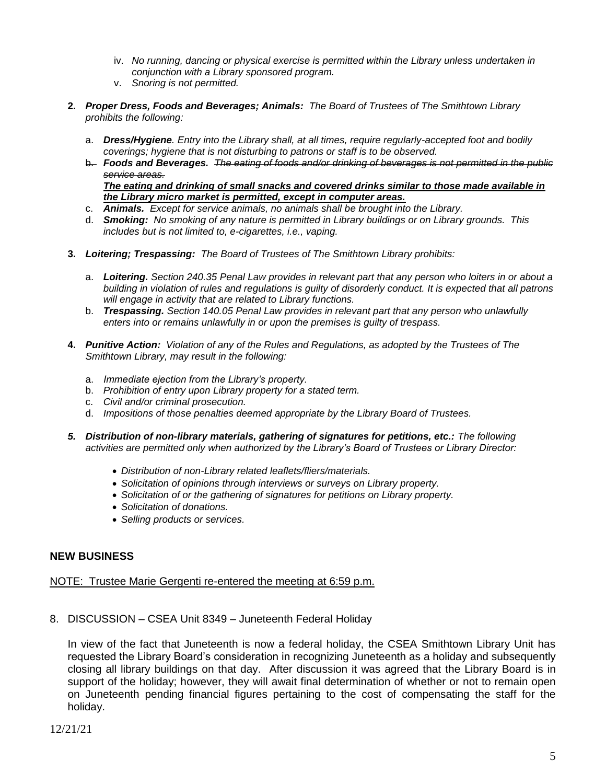- iv. *No running, dancing or physical exercise is permitted within the Library unless undertaken in conjunction with a Library sponsored program.*
- v. *Snoring is not permitted.*
- **2.** *Proper Dress, Foods and Beverages; Animals: The Board of Trustees of The Smithtown Library prohibits the following:*
	- a. *Dress/Hygiene. Entry into the Library shall, at all times, require regularly-accepted foot and bodily coverings; hygiene that is not disturbing to patrons or staff is to be observed.*
	- b. *Foods and Beverages. The eating of foods and/or drinking of beverages is not permitted in the public service areas. The eating and drinking of small snacks and covered drinks similar to those made available in the Library micro market is permitted, except in computer areas.*
	- c. *Animals. Except for service animals, no animals shall be brought into the Library.*
	- d. *Smoking: No smoking of any nature is permitted in Library buildings or on Library grounds. This includes but is not limited to, e-cigarettes, i.e., vaping.*
- **3.** *Loitering; Trespassing: The Board of Trustees of The Smithtown Library prohibits:*
	- a. *Loitering. Section 240.35 Penal Law provides in relevant part that any person who loiters in or about a building in violation of rules and regulations is guilty of disorderly conduct. It is expected that all patrons will engage in activity that are related to Library functions.*
	- b. *Trespassing. Section 140.05 Penal Law provides in relevant part that any person who unlawfully enters into or remains unlawfully in or upon the premises is guilty of trespass.*
- **4.** *Punitive Action: Violation of any of the Rules and Regulations, as adopted by the Trustees of The Smithtown Library, may result in the following:*
	- a. *Immediate ejection from the Library's property.*
	- b. *Prohibition of entry upon Library property for a stated term.*
	- c. *Civil and/or criminal prosecution.*
	- d. *Impositions of those penalties deemed appropriate by the Library Board of Trustees.*
- *5. Distribution of non-library materials, gathering of signatures for petitions, etc.: The following activities are permitted only when authorized by the Library's Board of Trustees or Library Director:*
	- *Distribution of non-Library related leaflets/fliers/materials.*
	- *Solicitation of opinions through interviews or surveys on Library property.*
	- *Solicitation of or the gathering of signatures for petitions on Library property.*
	- *Solicitation of donations.*
	- *Selling products or services.*

#### **NEW BUSINESS**

#### NOTE: Trustee Marie Gergenti re-entered the meeting at 6:59 p.m.

8. DISCUSSION – CSEA Unit 8349 – Juneteenth Federal Holiday

In view of the fact that Juneteenth is now a federal holiday, the CSEA Smithtown Library Unit has requested the Library Board's consideration in recognizing Juneteenth as a holiday and subsequently closing all library buildings on that day. After discussion it was agreed that the Library Board is in support of the holiday; however, they will await final determination of whether or not to remain open on Juneteenth pending financial figures pertaining to the cost of compensating the staff for the holiday.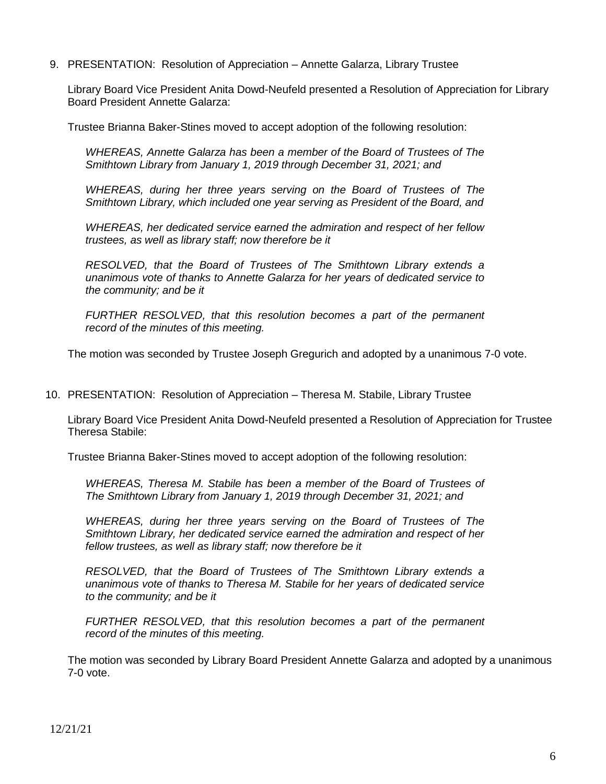9. PRESENTATION: Resolution of Appreciation – Annette Galarza, Library Trustee

Library Board Vice President Anita Dowd-Neufeld presented a Resolution of Appreciation for Library Board President Annette Galarza:

Trustee Brianna Baker-Stines moved to accept adoption of the following resolution:

*WHEREAS, Annette Galarza has been a member of the Board of Trustees of The Smithtown Library from January 1, 2019 through December 31, 2021; and*

*WHEREAS, during her three years serving on the Board of Trustees of The Smithtown Library, which included one year serving as President of the Board, and*

*WHEREAS, her dedicated service earned the admiration and respect of her fellow trustees, as well as library staff; now therefore be it*

*RESOLVED, that the Board of Trustees of The Smithtown Library extends a unanimous vote of thanks to Annette Galarza for her years of dedicated service to the community; and be it*

*FURTHER RESOLVED, that this resolution becomes a part of the permanent record of the minutes of this meeting.*

The motion was seconded by Trustee Joseph Gregurich and adopted by a unanimous 7-0 vote.

10. PRESENTATION: Resolution of Appreciation – Theresa M. Stabile, Library Trustee

Library Board Vice President Anita Dowd-Neufeld presented a Resolution of Appreciation for Trustee Theresa Stabile:

Trustee Brianna Baker-Stines moved to accept adoption of the following resolution:

*WHEREAS, Theresa M. Stabile has been a member of the Board of Trustees of The Smithtown Library from January 1, 2019 through December 31, 2021; and*

*WHEREAS, during her three years serving on the Board of Trustees of The Smithtown Library, her dedicated service earned the admiration and respect of her fellow trustees, as well as library staff; now therefore be it*

*RESOLVED, that the Board of Trustees of The Smithtown Library extends a unanimous vote of thanks to Theresa M. Stabile for her years of dedicated service to the community; and be it*

*FURTHER RESOLVED, that this resolution becomes a part of the permanent record of the minutes of this meeting.*

The motion was seconded by Library Board President Annette Galarza and adopted by a unanimous 7-0 vote.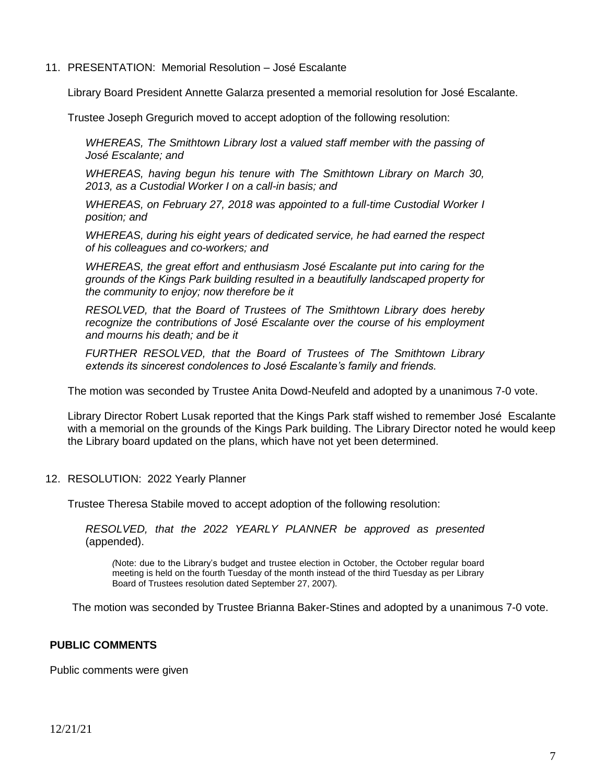11. PRESENTATION: Memorial Resolution – José Escalante

Library Board President Annette Galarza presented a memorial resolution for José Escalante.

Trustee Joseph Gregurich moved to accept adoption of the following resolution:

*WHEREAS, The Smithtown Library lost a valued staff member with the passing of José Escalante; and*

*WHEREAS, having begun his tenure with The Smithtown Library on March 30, 2013, as a Custodial Worker I on a call-in basis; and*

*WHEREAS, on February 27, 2018 was appointed to a full-time Custodial Worker I position; and*

*WHEREAS, during his eight years of dedicated service, he had earned the respect of his colleagues and co-workers; and*

*WHEREAS, the great effort and enthusiasm José Escalante put into caring for the grounds of the Kings Park building resulted in a beautifully landscaped property for the community to enjoy; now therefore be it*

*RESOLVED, that the Board of Trustees of The Smithtown Library does hereby recognize the contributions of José Escalante over the course of his employment and mourns his death; and be it*

*FURTHER RESOLVED, that the Board of Trustees of The Smithtown Library extends its sincerest condolences to José Escalante's family and friends.*

The motion was seconded by Trustee Anita Dowd-Neufeld and adopted by a unanimous 7-0 vote.

Library Director Robert Lusak reported that the Kings Park staff wished to remember José Escalante with a memorial on the grounds of the Kings Park building. The Library Director noted he would keep the Library board updated on the plans, which have not yet been determined.

12. RESOLUTION: 2022 Yearly Planner

Trustee Theresa Stabile moved to accept adoption of the following resolution:

*RESOLVED, that the 2022 YEARLY PLANNER be approved as presented*  (appended).

*(*Note: due to the Library's budget and trustee election in October, the October regular board meeting is held on the fourth Tuesday of the month instead of the third Tuesday as per Library Board of Trustees resolution dated September 27, 2007).

The motion was seconded by Trustee Brianna Baker-Stines and adopted by a unanimous 7-0 vote.

# **PUBLIC COMMENTS**

Public comments were given